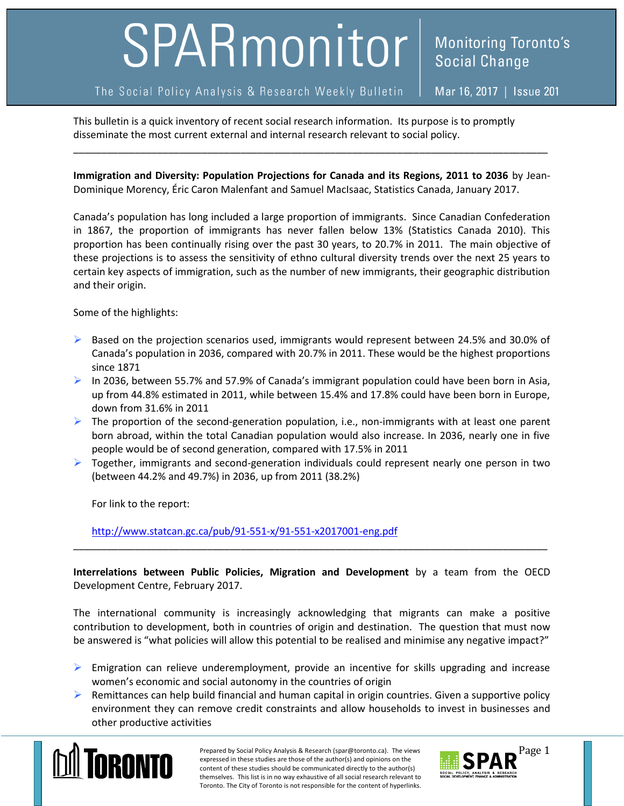## SPARmonitor

## The Social Policy Analysis & Research Weekly Bulletin

**Monitoring Toronto's Social Change** 

This bulletin is a quick inventory of recent social research information. Its purpose is to promptly disseminate the most current external and internal research relevant to social policy.

**Immigration and Diversity: Population Projections for Canada and its Regions, 2011 to 2036** by Jean-Dominique Morency, Éric Caron Malenfant and Samuel MacIsaac, Statistics Canada, January 2017.

\_\_\_\_\_\_\_\_\_\_\_\_\_\_\_\_\_\_\_\_\_\_\_\_\_\_\_\_\_\_\_\_\_\_\_\_\_\_\_\_\_\_\_\_\_\_\_\_\_\_\_\_\_\_\_\_\_\_\_\_\_\_\_\_\_\_\_\_\_\_\_\_\_\_\_\_\_\_\_\_\_\_\_\_\_

Canada's population has long included a large proportion of immigrants. Since Canadian Confederation in 1867, the proportion of immigrants has never fallen below 13% (Statistics Canada 2010). This proportion has been continually rising over the past 30 years, to 20.7% in 2011. The main objective of these projections is to assess the sensitivity of ethno cultural diversity trends over the next 25 years to certain key aspects of immigration, such as the number of new immigrants, their geographic distribution and their origin.

Some of the highlights:

- $\triangleright$  Based on the projection scenarios used, immigrants would represent between 24.5% and 30.0% of Canada's population in 2036, compared with 20.7% in 2011. These would be the highest proportions since 1871
- $\triangleright$  In 2036, between 55.7% and 57.9% of Canada's immigrant population could have been born in Asia, up from 44.8% estimated in 2011, while between 15.4% and 17.8% could have been born in Europe, down from 31.6% in 2011
- $\triangleright$  The proportion of the second-generation population, i.e., non-immigrants with at least one parent born abroad, within the total Canadian population would also increase. In 2036, nearly one in five people would be of second generation, compared with 17.5% in 2011
- $\triangleright$  Together, immigrants and second-generation individuals could represent nearly one person in two (between 44.2% and 49.7%) in 2036, up from 2011 (38.2%)

For link to the report:

<http://www.statcan.gc.ca/pub/91-551-x/91-551-x2017001-eng.pdf>

**Interrelations between Public Policies, Migration and Development** by a team from the OECD Development Centre, February 2017.

\_\_\_\_\_\_\_\_\_\_\_\_\_\_\_\_\_\_\_\_\_\_\_\_\_\_\_\_\_\_\_\_\_\_\_\_\_\_\_\_\_\_\_\_\_\_\_\_\_\_\_\_\_\_\_\_\_\_\_\_\_\_\_\_\_\_\_\_\_\_\_\_\_\_\_\_\_\_\_\_\_\_\_\_\_

The international community is increasingly acknowledging that migrants can make a positive contribution to development, both in countries of origin and destination. The question that must now be answered is "what policies will allow this potential to be realised and minimise any negative impact?"

- $\triangleright$  Emigration can relieve underemployment, provide an incentive for skills upgrading and increase women's economic and social autonomy in the countries of origin
- $\triangleright$  Remittances can help build financial and human capital in origin countries. Given a supportive policy environment they can remove credit constraints and allow households to invest in businesses and other productive activities



Prepared by Social Policy Analysis & Research (spar@toronto.ca). The views Page 1 expressed in these studies are those of the author(s) and opinions on the content of these studies should be communicated directly to the author(s) themselves. This list is in no way exhaustive of all social research relevant to Toronto. The City of Toronto is not responsible for the content of hyperlinks.

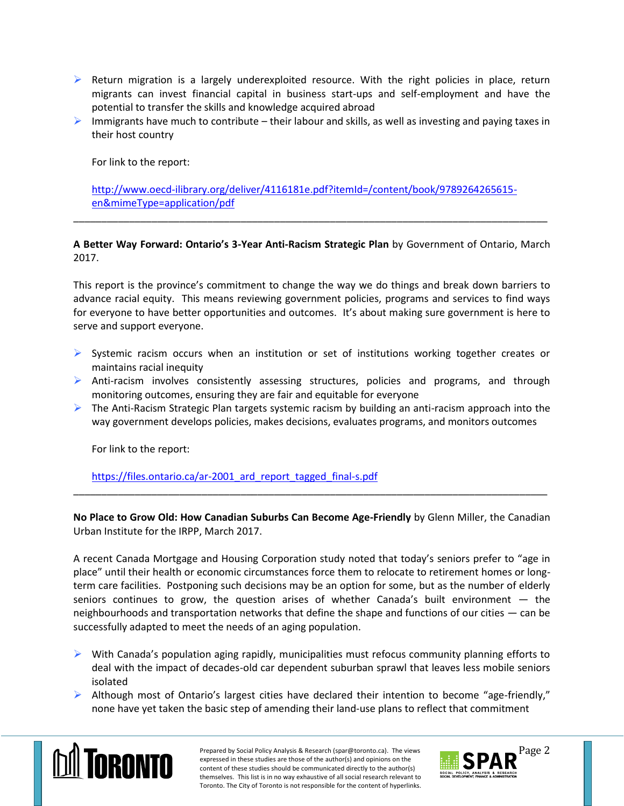- $\triangleright$  Return migration is a largely underexploited resource. With the right policies in place, return migrants can invest financial capital in business start-ups and self-employment and have the potential to transfer the skills and knowledge acquired abroad
- $\triangleright$  Immigrants have much to contribute their labour and skills, as well as investing and paying taxes in their host country

For link to the report:

[http://www.oecd-ilibrary.org/deliver/4116181e.pdf?itemId=/content/book/9789264265615](http://www.oecd-ilibrary.org/deliver/4116181e.pdf?itemId=/content/book/9789264265615-en&mimeType=application/pdf) [en&mimeType=application/pdf](http://www.oecd-ilibrary.org/deliver/4116181e.pdf?itemId=/content/book/9789264265615-en&mimeType=application/pdf)

**A Better Way Forward: Ontario's 3-Year Anti-Racism Strategic Plan** by Government of Ontario, March 2017.

\_\_\_\_\_\_\_\_\_\_\_\_\_\_\_\_\_\_\_\_\_\_\_\_\_\_\_\_\_\_\_\_\_\_\_\_\_\_\_\_\_\_\_\_\_\_\_\_\_\_\_\_\_\_\_\_\_\_\_\_\_\_\_\_\_\_\_\_\_\_\_\_\_\_\_\_\_\_\_\_\_\_\_\_\_

This report is the province's commitment to change the way we do things and break down barriers to advance racial equity. This means reviewing government policies, programs and services to find ways for everyone to have better opportunities and outcomes. It's about making sure government is here to serve and support everyone.

- $\triangleright$  Systemic racism occurs when an institution or set of institutions working together creates or maintains racial inequity
- $\triangleright$  Anti-racism involves consistently assessing structures, policies and programs, and through monitoring outcomes, ensuring they are fair and equitable for everyone
- $\triangleright$  The Anti-Racism Strategic Plan targets systemic racism by building an anti-racism approach into the way government develops policies, makes decisions, evaluates programs, and monitors outcomes

For link to the report:

https://files.ontario.ca/ar-2001 ard report tagged final-s.pdf

**No Place to Grow Old: How Canadian Suburbs Can Become Age-Friendly** by Glenn Miller, the Canadian Urban Institute for the IRPP, March 2017.

\_\_\_\_\_\_\_\_\_\_\_\_\_\_\_\_\_\_\_\_\_\_\_\_\_\_\_\_\_\_\_\_\_\_\_\_\_\_\_\_\_\_\_\_\_\_\_\_\_\_\_\_\_\_\_\_\_\_\_\_\_\_\_\_\_\_\_\_\_\_\_\_\_\_\_\_\_\_\_\_\_\_\_\_\_

A recent Canada Mortgage and Housing Corporation study noted that today's seniors prefer to "age in place" until their health or economic circumstances force them to relocate to retirement homes or longterm care facilities. Postponing such decisions may be an option for some, but as the number of elderly seniors continues to grow, the question arises of whether Canada's built environment — the neighbourhoods and transportation networks that define the shape and functions of our cities — can be successfully adapted to meet the needs of an aging population.

- $\triangleright$  With Canada's population aging rapidly, municipalities must refocus community planning efforts to deal with the impact of decades-old car dependent suburban sprawl that leaves less mobile seniors isolated
- $\triangleright$  Although most of Ontario's largest cities have declared their intention to become "age-friendly," none have yet taken the basic step of amending their land-use plans to reflect that commitment



Prepared by Social Policy Analysis & Research (spar@toronto.ca). The views Page 2 expressed in these studies are those of the author(s) and opinions on the content of these studies should be communicated directly to the author(s) themselves. This list is in no way exhaustive of all social research relevant to Toronto. The City of Toronto is not responsible for the content of hyperlinks.